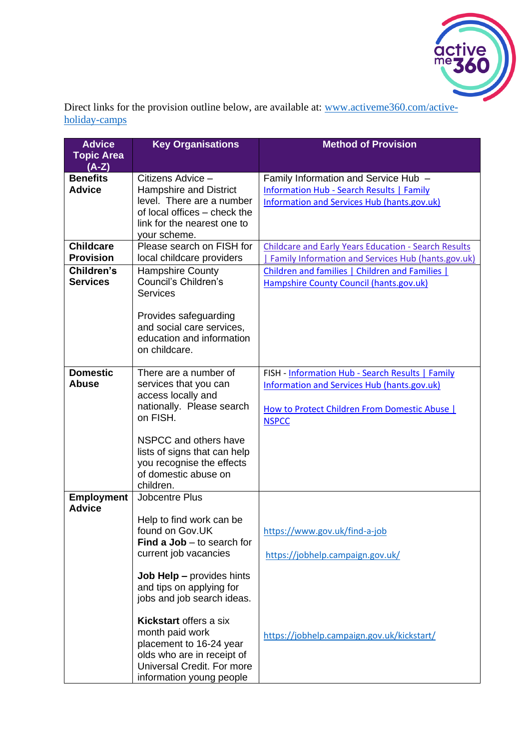

Direct links for the provision outline below, are available at: [www.activeme360.com/active](http://www.activeme360.com/active-holiday-camps)[holiday-camps](http://www.activeme360.com/active-holiday-camps)

| <b>Advice</b><br><b>Topic Area</b> | <b>Key Organisations</b>                                                                                                                                     | <b>Method of Provision</b>                                                                                                                                              |
|------------------------------------|--------------------------------------------------------------------------------------------------------------------------------------------------------------|-------------------------------------------------------------------------------------------------------------------------------------------------------------------------|
| $(A-Z)$                            |                                                                                                                                                              |                                                                                                                                                                         |
| <b>Benefits</b><br><b>Advice</b>   | Citizens Advice -<br>Hampshire and District<br>level. There are a number<br>of local offices - check the<br>link for the nearest one to<br>your scheme.      | Family Information and Service Hub -<br>Information Hub - Search Results   Family<br><b>Information and Services Hub (hants.gov.uk)</b>                                 |
| <b>Childcare</b>                   | Please search on FISH for                                                                                                                                    | <b>Childcare and Early Years Education - Search Results</b>                                                                                                             |
| <b>Provision</b>                   | local childcare providers                                                                                                                                    | Family Information and Services Hub (hants.gov.uk)                                                                                                                      |
| Children's<br><b>Services</b>      | <b>Hampshire County</b><br>Council's Children's<br><b>Services</b>                                                                                           | Children and families   Children and Families  <br>Hampshire County Council (hants.gov.uk)                                                                              |
|                                    | Provides safeguarding<br>and social care services,<br>education and information<br>on childcare.                                                             |                                                                                                                                                                         |
| <b>Domestic</b><br><b>Abuse</b>    | There are a number of<br>services that you can<br>access locally and<br>nationally. Please search<br>on FISH.                                                | FISH - Information Hub - Search Results   Family<br><b>Information and Services Hub (hants.gov.uk)</b><br>How to Protect Children From Domestic Abuse  <br><b>NSPCC</b> |
|                                    | NSPCC and others have<br>lists of signs that can help<br>you recognise the effects<br>of domestic abuse on<br>children.                                      |                                                                                                                                                                         |
| <b>Employment</b><br><b>Advice</b> | Jobcentre Plus                                                                                                                                               |                                                                                                                                                                         |
|                                    | Help to find work can be<br>found on Gov.UK<br>Find a $Job - to search for$<br>current job vacancies                                                         | https://www.gov.uk/find-a-job<br>https://jobhelp.campaign.gov.uk/                                                                                                       |
|                                    | <b>Job Help - provides hints</b><br>and tips on applying for<br>jobs and job search ideas.                                                                   |                                                                                                                                                                         |
|                                    | Kickstart offers a six<br>month paid work<br>placement to 16-24 year<br>olds who are in receipt of<br>Universal Credit. For more<br>information young people | https://jobhelp.campaign.gov.uk/kickstart/                                                                                                                              |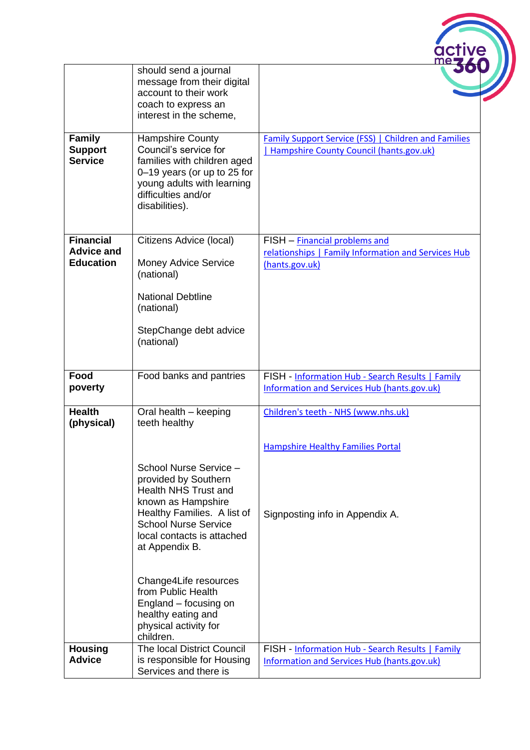|                                                           | should send a journal<br>message from their digital<br>account to their work<br>coach to express an<br>interest in the scheme,                                                                                    |                                                                                                        |
|-----------------------------------------------------------|-------------------------------------------------------------------------------------------------------------------------------------------------------------------------------------------------------------------|--------------------------------------------------------------------------------------------------------|
| <b>Family</b><br><b>Support</b><br><b>Service</b>         | <b>Hampshire County</b><br>Council's service for<br>families with children aged<br>0-19 years (or up to 25 for<br>young adults with learning<br>difficulties and/or<br>disabilities).                             | Family Support Service (FSS)   Children and Families<br>  Hampshire County Council (hants.gov.uk)      |
| <b>Financial</b><br><b>Advice and</b><br><b>Education</b> | Citizens Advice (local)<br><b>Money Advice Service</b><br>(national)                                                                                                                                              | FISH - Financial problems and<br>relationships   Family Information and Services Hub<br>(hants.gov.uk) |
|                                                           | <b>National Debtline</b><br>(national)                                                                                                                                                                            |                                                                                                        |
|                                                           | StepChange debt advice<br>(national)                                                                                                                                                                              |                                                                                                        |
| Food<br>poverty                                           | Food banks and pantries                                                                                                                                                                                           | FISH - Information Hub - Search Results   Family<br><b>Information and Services Hub (hants.gov.uk)</b> |
| <b>Health</b><br>(physical)                               | Oral health - keeping<br>teeth healthy                                                                                                                                                                            | Children's teeth - NHS (www.nhs.uk)                                                                    |
|                                                           |                                                                                                                                                                                                                   | <b>Hampshire Healthy Families Portal</b>                                                               |
|                                                           | School Nurse Service -<br>provided by Southern<br><b>Health NHS Trust and</b><br>known as Hampshire<br>Healthy Families. A list of<br><b>School Nurse Service</b><br>local contacts is attached<br>at Appendix B. | Signposting info in Appendix A.                                                                        |
|                                                           | Change4Life resources<br>from Public Health<br>England – focusing on<br>healthy eating and<br>physical activity for<br>children.                                                                                  |                                                                                                        |
| <b>Housing</b><br><b>Advice</b>                           | The local District Council<br>is responsible for Housing<br>Services and there is                                                                                                                                 | FISH - Information Hub - Search Results   Family<br>Information and Services Hub (hants.gov.uk)        |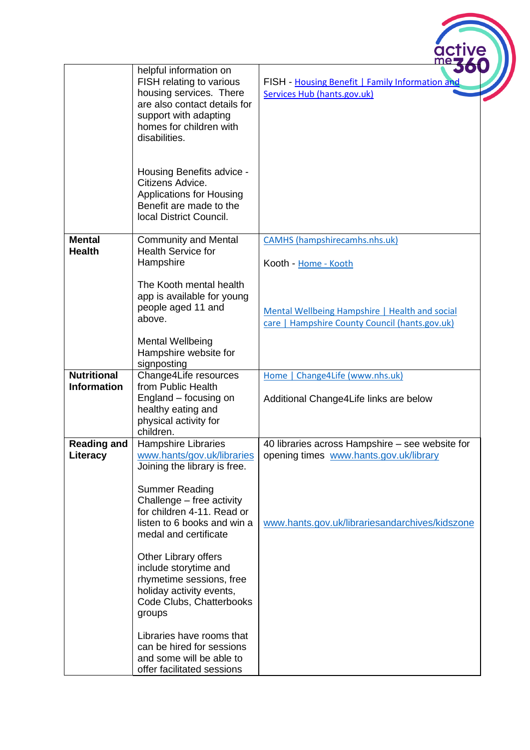|                                          |                                                                                                                                                                                                                                                                                                                                                                                          | active                                                                                           |
|------------------------------------------|------------------------------------------------------------------------------------------------------------------------------------------------------------------------------------------------------------------------------------------------------------------------------------------------------------------------------------------------------------------------------------------|--------------------------------------------------------------------------------------------------|
|                                          | helpful information on<br>FISH relating to various<br>housing services. There<br>are also contact details for<br>support with adapting<br>homes for children with<br>disabilities.                                                                                                                                                                                                       | FISH - Housing Benefit   Family Information and<br>Services Hub (hants.gov.uk)                   |
|                                          | Housing Benefits advice -<br>Citizens Advice.<br><b>Applications for Housing</b><br>Benefit are made to the<br>local District Council.                                                                                                                                                                                                                                                   |                                                                                                  |
| <b>Mental</b><br><b>Health</b>           | <b>Community and Mental</b><br><b>Health Service for</b>                                                                                                                                                                                                                                                                                                                                 | <b>CAMHS</b> (hampshirecamhs.nhs.uk)                                                             |
|                                          | Hampshire                                                                                                                                                                                                                                                                                                                                                                                | Kooth - Home - Kooth                                                                             |
|                                          | The Kooth mental health<br>app is available for young<br>people aged 11 and<br>above.                                                                                                                                                                                                                                                                                                    | Mental Wellbeing Hampshire   Health and social<br>care   Hampshire County Council (hants.gov.uk) |
|                                          | <b>Mental Wellbeing</b><br>Hampshire website for<br>signposting                                                                                                                                                                                                                                                                                                                          |                                                                                                  |
| <b>Nutritional</b><br><b>Information</b> | Change4Life resources<br>from Public Health<br>England - focusing on<br>healthy eating and<br>physical activity for<br>children.                                                                                                                                                                                                                                                         | Home   Change4Life (www.nhs.uk)<br>Additional Change4Life links are below                        |
| <b>Reading and</b><br>Literacy           | <b>Hampshire Libraries</b><br>www.hants/gov.uk/libraries                                                                                                                                                                                                                                                                                                                                 | 40 libraries across Hampshire – see website for<br>opening times www.hants.gov.uk/library        |
|                                          | Joining the library is free.<br><b>Summer Reading</b><br>Challenge – free activity<br>for children 4-11. Read or<br>listen to 6 books and win a<br>medal and certificate<br><b>Other Library offers</b><br>include storytime and<br>rhymetime sessions, free<br>holiday activity events,<br>Code Clubs, Chatterbooks<br>groups<br>Libraries have rooms that<br>can be hired for sessions | www.hants.gov.uk/librariesandarchives/kidszone                                                   |
|                                          | and some will be able to<br>offer facilitated sessions                                                                                                                                                                                                                                                                                                                                   |                                                                                                  |